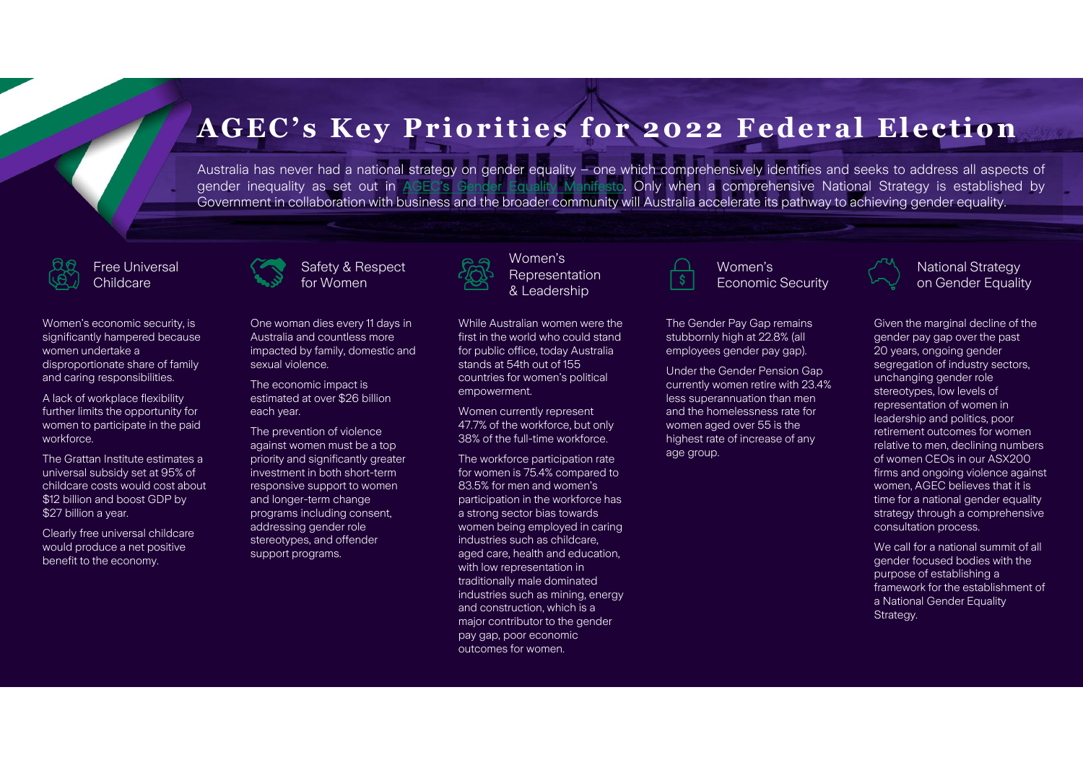# **AGEC's Key Priorities for 2022 Federal Election**

Australia has never had a national strategy on gender equality – one which comprehensively identifies and seeks to address all aspects of gender inequality as set out in AGEC's Gender Equality Manifesto. Only when <sup>a</sup> comprehensive National Strategy is established by Government in collaboration with business and the broader community will Australia accelerate its pathway to achieving gender equality.

### Free Universal Childcare

Women's economic security, is significantly hampered because women undertake a disproportionate share of family and caring responsibilities.

A lack of workplace flexibility further limits the opportunity for women to participate in the paid workforce.

The Grattan Institute estimates a universal subsidy set at 95% of childcare costs would cost about \$12 billion and boost GDP by \$27 billion a year.

Clearly free universal childcare would produce a net positive benefit to the economy.





One woman dies every 11 days in Australia and countless more impacted by family, domestic and sexual violence.

The economic impact is estimated at over \$26 billion each year.

The prevention of violence against women must be a top priority and significantly greater investment in both short-term responsive support to women and longer-term change programs including consent, addressing gender role stereotypes, and offender support programs.



Women's Representation & Leadership

While Australian women were the first in the world who could stand for public office, today Australia stands at 54th out of 155 countries for women's political empowerment.

Women currently represent 47.7% of the workforce, but only 38% of the full-time workforce.

The workforce participation rate for women is 75.4% compared to 83.5% for men and women's participation in the workforce has a strong sector bias towards women being employed in caring industries such as childcare, aged care, health and education, with low representation in traditionally male dominated industries such as mining, energy and construction, which is a major contributor to the gender pay gap, poor economic outcomes for women.



### Women's Economic Security

The Gender Pay Gap remains stubbornly high at 22.8% (all employees gender pay gap).

Under the Gender Pension Gap currently women retire with 23.4% less superannuation than men and the homelessness rate for women aged over 55 is the highest rate of increase of any age group.



Given the marginal decline of the gender pay gap over the past 20 years, ongoing gender segregation of industry sectors, unchanging gender role stereotypes, low levels of representation of women in leadership and politics, poor retirement outcomes for women relative to men, declining numbers of women CEOs in our ASX200 firms and ongoing violence against women, AGEC believes that it is time for a national gender equality strategy through a comprehensive consultation process.

We call for a national summit of all gender focused bodies with the purpose of establishing a framework for the establishment of a National Gender Equality Strategy.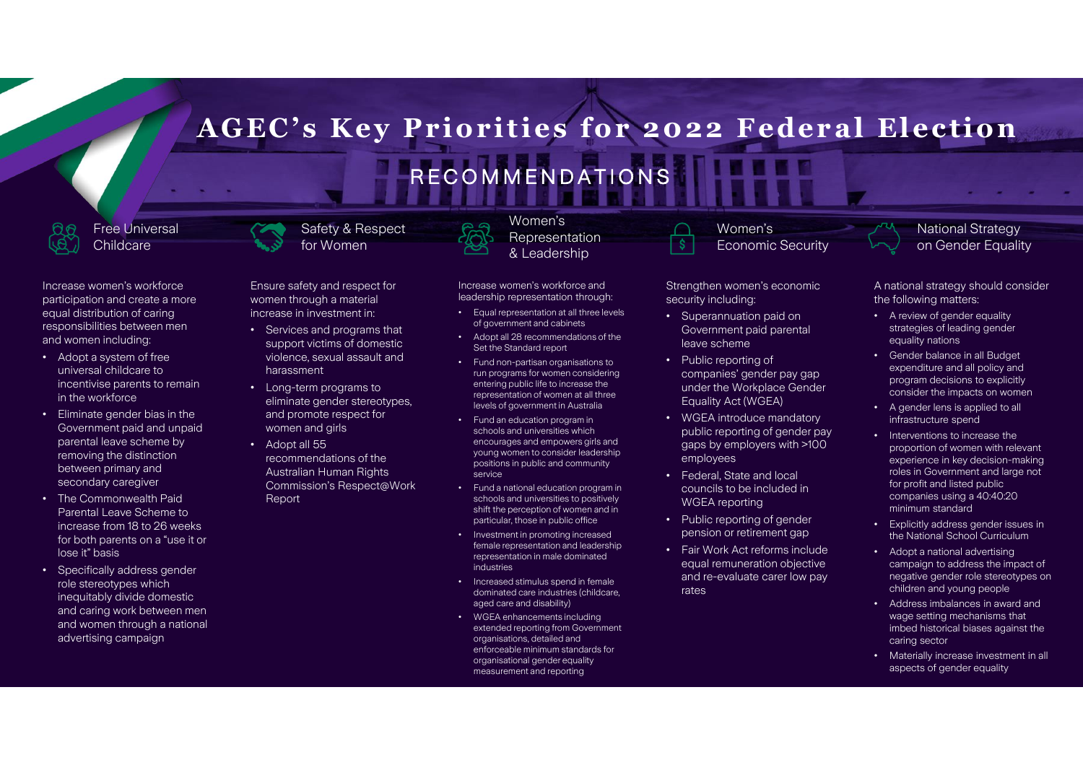# **AGEC's Key Priorities for 2022 Federal Election** RECOMMENDATIONS

Free Universal Childcare

Increase women's workforce participation and create a more equal distribution of caring responsibilities between men and women including:

- Adopt a system of free universal childcare to incentivise parents to remain in the workforce
- Eliminate gender bias in the Government paid and unpaid parental leave scheme by removing the distinction between primary and secondary caregiver
- The Commonwealth Paid Parental Leave Scheme to increase from 18 to 26 weeks for both parents on a "use it or lose it" basis
- Specifically address gender role stereotypes which inequitably divide domestic and caring work between men and women through a national advertising campaign

Ensure safety and respect for women through a material increase in investment in:

Safety & Respect for Women

- Services and programs that support victims of domestic violence, sexual assault and harassment
- Long-term programs to eliminate gender stereotypes, and promote respect for women and girls
- Adopt all 55 recommendations of the Australian Human Rights Commission's Respect@Work Report

Increase women's workforce and leadership representation through:

Women's Representation & Leadership

- Equal representation at all three levels of government and cabinets
- Adopt all 28 recommendations of the Set the Standard report
- Fund non-partisan organisations to run programs for women considering entering public life to increase the representation of women at all three levels of government in Australia
- Fund an education program in schools and universities which encourages and empowers girls and young women to consider leadership positions in public and community service
- Fund a national education program in schools and universities to positively shift the perception of women and in particular, those in public office
- Investment in promoting increased female representation and leadership representation in male dominated industries
- Increased stimulus spend in female dominated care industries (childcare, aged care and disability)
- WGEA enhancements including extended reporting from Government organisations, detailed and enforceable minimum standards for organisational gender equality measurement and reporting

Strengthen women's economic security including:

Women's

Economic Security

- Superannuation paid on Government paid parental leave scheme
- Public reporting of companies' gender pay gap under the Workplace Gender Equality Act (WGEA)
- WGEA introduce mandatory public reporting of gender pay gaps by employers with >100 employees
- Federal, State and local councils to be included in WGEA reporting
- Public reporting of gender pension or retirement gap
- Fair Work Act reforms include equal remuneration objective and re-evaluate carer low pay rates

A national strategy should consider

National Strategy on Gender Equality

the following matters: • A review of gender equality

- strategies of leading gender equality nations
- Gender balance in all Budget expenditure and all policy and program decisions to explicitly consider the impacts on women
- A gender lens is applied to all infrastructure spend
- Interventions to increase the proportion of women with relevant experience in key decision-making roles in Government and large not for profit and listed public companies using a 40:40:20 minimum standard
- Explicitly address gender issues in the National School Curriculum
- Adopt a national advertising campaign to address the impact of negative gender role stereotypes on children and young people
- Address imbalances in award and wage setting mechanisms that imbed historical biases against the caring sector
- Materially increase investment in all aspects of gender equality